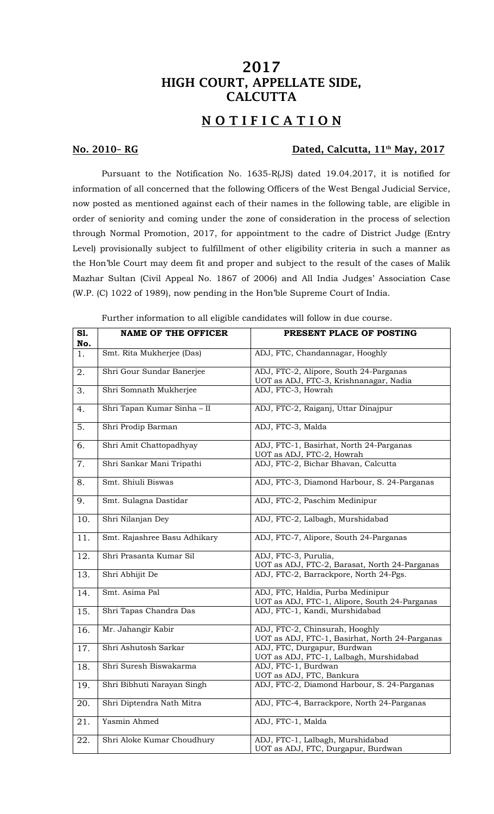# 2017 HIGH COURT, APPELLATE SIDE, **CALCUTTA**

## NOTIFICATION

### No. 2010-RG Dated, Calcutta, 11<sup>th</sup> May, 2017

Pursuant to the Notification No. 1635-R(JS) dated 19.04.2017, it is notified for information of all concerned that the following Officers of the West Bengal Judicial Service, now posted as mentioned against each of their names in the following table, are eligible in order of seniority and coming under the zone of consideration in the process of selection through Normal Promotion, 2017, for appointment to the cadre of District Judge (Entry Level) provisionally subject to fulfillment of other eligibility criteria in such a manner as the Hon'ble Court may deem fit and proper and subject to the result of the cases of Malik Mazhar Sultan (Civil Appeal No. 1867 of 2006) and All India Judges' Association Case (W.P. (C) 1022 of 1989), now pending in the Hon'ble Supreme Court of India.

| S1.<br>No. | <b>NAME OF THE OFFICER</b>   | PRESENT PLACE OF POSTING                                                           |
|------------|------------------------------|------------------------------------------------------------------------------------|
| 1.         | Smt. Rita Mukherjee (Das)    | ADJ, FTC, Chandannagar, Hooghly                                                    |
| 2.         | Shri Gour Sundar Banerjee    | ADJ, FTC-2, Alipore, South 24-Parganas<br>UOT as ADJ, FTC-3, Krishnanagar, Nadia   |
| 3.         | Shri Somnath Mukherjee       | ADJ, FTC-3, Howrah                                                                 |
| 4.         | Shri Tapan Kumar Sinha - II  | ADJ, FTC-2, Raiganj, Uttar Dinajpur                                                |
| 5.         | Shri Prodip Barman           | ADJ, FTC-3, Malda                                                                  |
| 6.         | Shri Amit Chattopadhyay      | ADJ, FTC-1, Basirhat, North 24-Parganas<br>UOT as ADJ, FTC-2, Howrah               |
| 7.         | Shri Sankar Mani Tripathi    | ADJ, FTC-2, Bichar Bhavan, Calcutta                                                |
| 8.         | Smt. Shiuli Biswas           | ADJ, FTC-3, Diamond Harbour, S. 24-Parganas                                        |
| 9.         | Smt. Sulagna Dastidar        | ADJ, FTC-2, Paschim Medinipur                                                      |
| 10.        | Shri Nilanjan Dey            | ADJ, FTC-2, Lalbagh, Murshidabad                                                   |
| 11.        | Smt. Rajashree Basu Adhikary | ADJ, FTC-7, Alipore, South 24-Parganas                                             |
| 12.        | Shri Prasanta Kumar Sil      | ADJ, FTC-3, Purulia,<br>UOT as ADJ, FTC-2, Barasat, North 24-Parganas              |
| 13.        | Shri Abhijit De              | ADJ, FTC-2, Barrackpore, North 24-Pgs.                                             |
| 14.        | Smt. Asima Pal               | ADJ, FTC, Haldia, Purba Medinipur<br>UOT as ADJ, FTC-1, Alipore, South 24-Parganas |
| 15.        | Shri Tapas Chandra Das       | ADJ, FTC-1, Kandi, Murshidabad                                                     |
| 16.        | Mr. Jahangir Kabir           | ADJ, FTC-2, Chinsurah, Hooghly<br>UOT as ADJ, FTC-1, Basirhat, North 24-Parganas   |
| 17.        | Shri Ashutosh Sarkar         | ADJ, FTC, Durgapur, Burdwan<br>UOT as ADJ, FTC-1, Lalbagh, Murshidabad             |
| 18.        | Shri Suresh Biswakarma       | ADJ, FTC-1, Burdwan<br>UOT as ADJ, FTC, Bankura                                    |
| 19.        | Shri Bibhuti Narayan Singh   | ADJ, FTC-2, Diamond Harbour, S. 24-Parganas                                        |
| 20.        | Shri Diptendra Nath Mitra    | ADJ, FTC-4, Barrackpore, North 24-Parganas                                         |
| 21.        | Yasmin Ahmed                 | ADJ, FTC-1, Malda                                                                  |
| 22.        | Shri Aloke Kumar Choudhury   | ADJ, FTC-1, Lalbagh, Murshidabad<br>UOT as ADJ, FTC, Durgapur, Burdwan             |

Further information to all eligible candidates will follow in due course.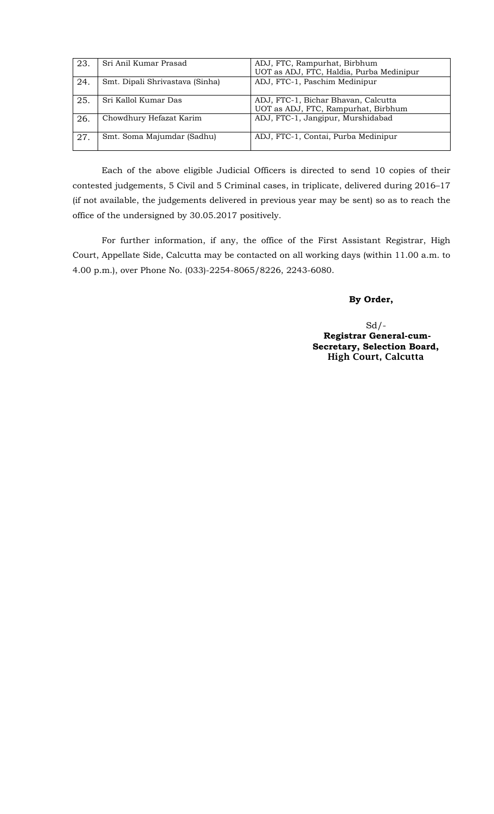| 23. | Sri Anil Kumar Prasad           | ADJ, FTC, Rampurhat, Birbhum             |
|-----|---------------------------------|------------------------------------------|
|     |                                 | UOT as ADJ, FTC, Haldia, Purba Medinipur |
| 24. | Smt. Dipali Shrivastava (Sinha) | ADJ, FTC-1, Paschim Medinipur            |
|     |                                 |                                          |
| 25. | Sri Kallol Kumar Das            | ADJ, FTC-1, Bichar Bhavan, Calcutta      |
|     |                                 | UOT as ADJ, FTC, Rampurhat, Birbhum      |
| 26. | Chowdhury Hefazat Karim         | ADJ, FTC-1, Jangipur, Murshidabad        |
|     |                                 |                                          |
| 27. | Smt. Soma Majumdar (Sadhu)      | ADJ, FTC-1, Contai, Purba Medinipur      |
|     |                                 |                                          |

Each of the above eligible Judicial Officers is directed to send 10 copies of their contested judgements, 5 Civil and 5 Criminal cases, in triplicate, delivered during 2016–17 (if not available, the judgements delivered in previous year may be sent) so as to reach the office of the undersigned by 30.05.2017 positively.

For further information, if any, the office of the First Assistant Registrar, High Court, Appellate Side, Calcutta may be contacted on all working days (within 11.00 a.m. to 4.00 p.m.), over Phone No. (033)-2254-8065/8226, 2243-6080.

#### **By Order,**

 $Sd$  /- **Registrar General-cum-Secretary, Selection Board,** High Court, Calcutta